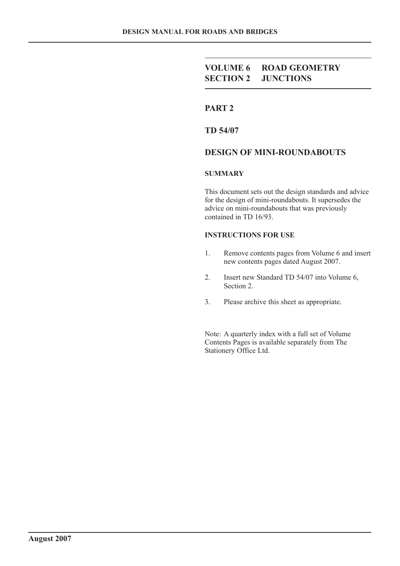# **VOLUME 6 ROAD GEOMETRY SECTION 2 JUNCTIONS**

# **PART 2**

**TD 54/07**

### **DESIGN OF MINI-ROUNDABOUTS**

#### **SUMMARY**

This document sets out the design standards and advice for the design of mini-roundabouts. It supersedes the advice on mini-roundabouts that was previously contained in TD 16/93.

#### **INSTRUCTIONS FOR USE**

- 1. Remove contents pages from Volume 6 and insert new contents pages dated August 2007.
- 2. Insert new Standard TD 54/07 into Volume 6, Section 2.
- 3. Please archive this sheet as appropriate.

Note: A quarterly index with a full set of Volume Contents Pages is available separately from The Stationery Office Ltd.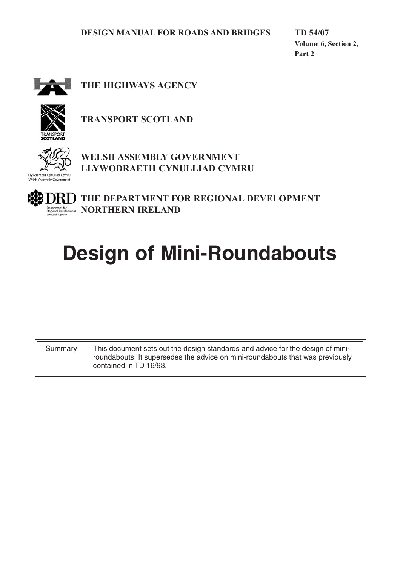**TD 54/07 Volume 6, Section 2, Part 2**



**THE HIGHWAYS AGENCY**



**TRANSPORT SCOTLAND**



**WELSH ASSEMBLY GOVERNMENT LLYWODRAETH CYNULLIAD CYMRU**

**THE DEPARTMENT FOR REGIONAL DEVELOPMENT Insert for a set of property of MORTHERN IRELAND** 

# **Design of Mini-Roundabouts**

Summary: This document sets out the design standards and advice for the design of miniroundabouts. It supersedes the advice on mini-roundabouts that was previously contained in TD 16/93.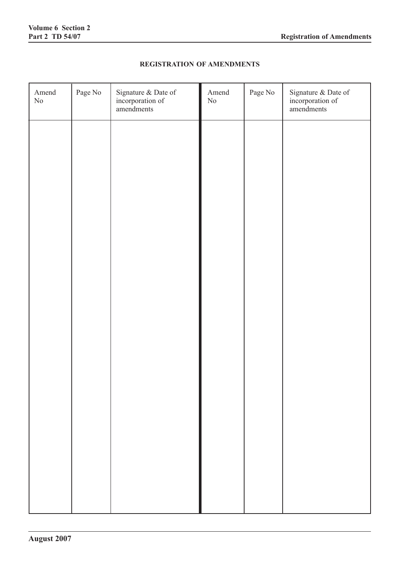### **REGISTRATION OF AMENDMENTS**

| Amend<br>$\rm No$ | Page No | Signature & Date of<br>incorporation of<br>amendments | Amend<br>$\rm No$ | Page No | Signature & Date of<br>incorporation of<br>amendments |
|-------------------|---------|-------------------------------------------------------|-------------------|---------|-------------------------------------------------------|
|                   |         |                                                       |                   |         |                                                       |
|                   |         |                                                       |                   |         |                                                       |
|                   |         |                                                       |                   |         |                                                       |
|                   |         |                                                       |                   |         |                                                       |
|                   |         |                                                       |                   |         |                                                       |
|                   |         |                                                       |                   |         |                                                       |
|                   |         |                                                       |                   |         |                                                       |
|                   |         |                                                       |                   |         |                                                       |
|                   |         |                                                       |                   |         |                                                       |
|                   |         |                                                       |                   |         |                                                       |
|                   |         |                                                       |                   |         |                                                       |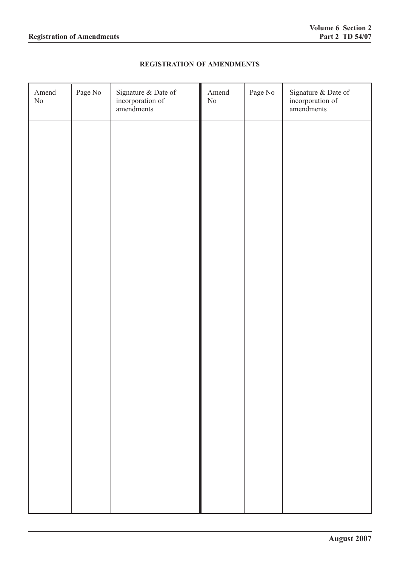### **REGISTRATION OF AMENDMENTS**

| Amend<br>$\rm No$ | Page No | Signature & Date of<br>incorporation of<br>amendments | Amend<br>$\rm No$ | Page No | Signature & Date of<br>incorporation of<br>amendments |
|-------------------|---------|-------------------------------------------------------|-------------------|---------|-------------------------------------------------------|
|                   |         |                                                       |                   |         |                                                       |
|                   |         |                                                       |                   |         |                                                       |
|                   |         |                                                       |                   |         |                                                       |
|                   |         |                                                       |                   |         |                                                       |
|                   |         |                                                       |                   |         |                                                       |
|                   |         |                                                       |                   |         |                                                       |
|                   |         |                                                       |                   |         |                                                       |
|                   |         |                                                       |                   |         |                                                       |
|                   |         |                                                       |                   |         |                                                       |
|                   |         |                                                       |                   |         |                                                       |
|                   |         |                                                       |                   |         |                                                       |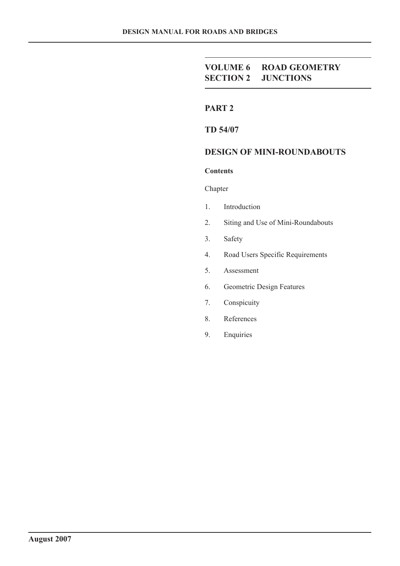# **VOLUME 6 ROAD GEOMETRY SECTION 2 JUNCTIONS**

# **PART 2**

**TD 54/07**

# **DESIGN OF MINI-ROUNDABOUTS**

#### **Contents**

Chapter

- 1. Introduction
- 2. Siting and Use of Mini-Roundabouts
- 3. Safety
- 4. Road Users Specific Requirements
- 5. Assessment
- 6. Geometric Design Features
- 7. Conspicuity
- 8. References
- 9. Enquiries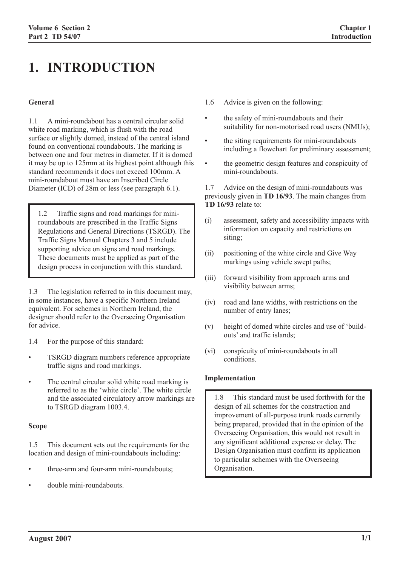# **1. INTRODUCTION**

#### **General**

1.1 A mini-roundabout has a central circular solid white road marking, which is flush with the road surface or slightly domed, instead of the central island found on conventional roundabouts. The marking is between one and four metres in diameter. If it is domed it may be up to 125mm at its highest point although this standard recommends it does not exceed 100mm. A mini-roundabout must have an Inscribed Circle Diameter (ICD) of 28m or less (see paragraph 6.1).

1.2 Traffic signs and road markings for miniroundabouts are prescribed in the Traffic Signs Regulations and General Directions (TSRGD). The Traffic Signs Manual Chapters 3 and 5 include supporting advice on signs and road markings. These documents must be applied as part of the design process in conjunction with this standard.

1.3 The legislation referred to in this document may, in some instances, have a specific Northern Ireland equivalent. For schemes in Northern Ireland, the designer should refer to the Overseeing Organisation for advice.

- 1.4 For the purpose of this standard:
- TSRGD diagram numbers reference appropriate traffic signs and road markings.
- The central circular solid white road marking is referred to as the 'white circle'. The white circle and the associated circulatory arrow markings are to TSRGD diagram 1003.4.

#### **Scope**

1.5 This document sets out the requirements for the location and design of mini-roundabouts including:

- three-arm and four-arm mini-roundabouts;
- double mini-roundabouts.
- 1.6 Advice is given on the following:
- the safety of mini-roundabouts and their suitability for non-motorised road users (NMUs);
- the siting requirements for mini-roundabouts including a flowchart for preliminary assessment;
- the geometric design features and conspicuity of mini-roundabouts.

1.7 Advice on the design of mini-roundabouts was previously given in **TD 16/93**. The main changes from **TD 16/93** relate to:

- (i) assessment, safety and accessibility impacts with information on capacity and restrictions on siting;
- (ii) positioning of the white circle and Give Way markings using vehicle swept paths;
- (iii) forward visibility from approach arms and visibility between arms;
- (iv) road and lane widths, with restrictions on the number of entry lanes;
- (v) height of domed white circles and use of 'buildouts' and traffic islands;
- (vi) conspicuity of mini-roundabouts in all conditions.

#### **Implementation**

1.8 This standard must be used forthwith for the design of all schemes for the construction and improvement of all-purpose trunk roads currently being prepared, provided that in the opinion of the Overseeing Organisation, this would not result in any significant additional expense or delay. The Design Organisation must confirm its application to particular schemes with the Overseeing Organisation.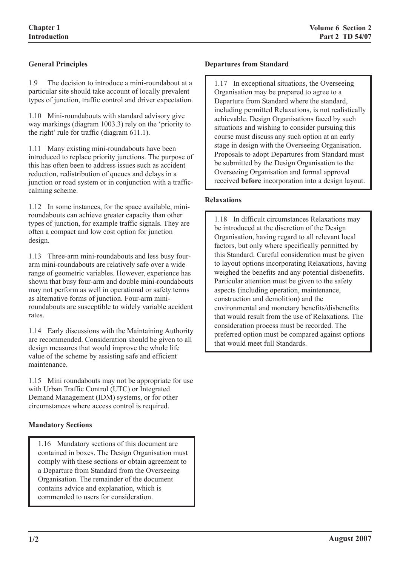# **General Principles**

1.9 The decision to introduce a mini-roundabout at a particular site should take account of locally prevalent types of junction, traffic control and driver expectation.

1.10 Mini-roundabouts with standard advisory give way markings (diagram 1003.3) rely on the 'priority to the right' rule for traffic (diagram 611.1).

1.11 Many existing mini-roundabouts have been introduced to replace priority junctions. The purpose of this has often been to address issues such as accident reduction, redistribution of queues and delays in a junction or road system or in conjunction with a trafficcalming scheme.

1.12 In some instances, for the space available, miniroundabouts can achieve greater capacity than other types of junction, for example traffic signals. They are often a compact and low cost option for junction design.

1.13 Three-arm mini-roundabouts and less busy fourarm mini-roundabouts are relatively safe over a wide range of geometric variables. However, experience has shown that busy four-arm and double mini-roundabouts may not perform as well in operational or safety terms as alternative forms of junction. Four-arm miniroundabouts are susceptible to widely variable accident rates.

1.14 Early discussions with the Maintaining Authority are recommended. Consideration should be given to all design measures that would improve the whole life value of the scheme by assisting safe and efficient maintenance.

1.15 Mini roundabouts may not be appropriate for use with Urban Traffic Control (UTC) or Integrated Demand Management (IDM) systems, or for other circumstances where access control is required.

#### **Mandatory Sections**

1.16 Mandatory sections of this document are contained in boxes. The Design Organisation must comply with these sections or obtain agreement to a Departure from Standard from the Overseeing Organisation. The remainder of the document contains advice and explanation, which is commended to users for consideration.

#### **Departures from Standard**

1.17 In exceptional situations, the Overseeing Organisation may be prepared to agree to a Departure from Standard where the standard, including permitted Relaxations, is not realistically achievable. Design Organisations faced by such situations and wishing to consider pursuing this course must discuss any such option at an early stage in design with the Overseeing Organisation. Proposals to adopt Departures from Standard must be submitted by the Design Organisation to the Overseeing Organisation and formal approval received **before** incorporation into a design layout.

#### **Relaxations**

1.18 In difficult circumstances Relaxations may be introduced at the discretion of the Design Organisation, having regard to all relevant local factors, but only where specifically permitted by this Standard. Careful consideration must be given to layout options incorporating Relaxations, having weighed the benefits and any potential disbenefits. Particular attention must be given to the safety aspects (including operation, maintenance, construction and demolition) and the environmental and monetary benefits/disbenefits that would result from the use of Relaxations. The consideration process must be recorded. The preferred option must be compared against options that would meet full Standards.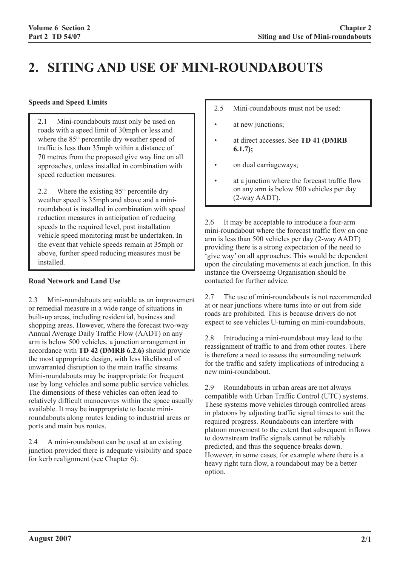# **2. SITING AND USE OF MINI-ROUNDABOUTS**

#### **Speeds and Speed Limits**

2.1 Mini-roundabouts must only be used on roads with a speed limit of 30mph or less and where the 85<sup>th</sup> percentile dry weather speed of traffic is less than 35mph within a distance of 70 metres from the proposed give way line on all approaches, unless installed in combination with speed reduction measures.

2.2 Where the existing  $85<sup>th</sup>$  percentile dry weather speed is 35mph and above and a miniroundabout is installed in combination with speed reduction measures in anticipation of reducing speeds to the required level, post installation vehicle speed monitoring must be undertaken. In the event that vehicle speeds remain at 35mph or above, further speed reducing measures must be installed.

## **Road Network and Land Use**

2.3 Mini-roundabouts are suitable as an improvement or remedial measure in a wide range of situations in built-up areas, including residential, business and shopping areas. However, where the forecast two-way Annual Average Daily Traffic Flow (AADT) on any arm is below 500 vehicles, a junction arrangement in accordance with **TD 42 (DMRB 6.2.6)** should provide the most appropriate design, with less likelihood of unwarranted disruption to the main traffic streams. Mini-roundabouts may be inappropriate for frequent use by long vehicles and some public service vehicles. The dimensions of these vehicles can often lead to relatively difficult manoeuvres within the space usually available. It may be inappropriate to locate miniroundabouts along routes leading to industrial areas or ports and main bus routes.

2.4 A mini-roundabout can be used at an existing junction provided there is adequate visibility and space for kerb realignment (see Chapter 6).

- 2.5 Mini-roundabouts must not be used:
- at new junctions;
- at direct accesses. See **TD 41 (DMRB 6.1.7);**
- on dual carriageways;
- at a junction where the forecast traffic flow on any arm is below 500 vehicles per day (2-way AADT).

2.6 It may be acceptable to introduce a four-arm mini-roundabout where the forecast traffic flow on one arm is less than 500 vehicles per day (2-way AADT) providing there is a strong expectation of the need to 'give way' on all approaches. This would be dependent upon the circulating movements at each junction. In this instance the Overseeing Organisation should be contacted for further advice.

2.7 The use of mini-roundabouts is not recommended at or near junctions where turns into or out from side roads are prohibited. This is because drivers do not expect to see vehicles U-turning on mini-roundabouts.

2.8 Introducing a mini-roundabout may lead to the reassignment of traffic to and from other routes. There is therefore a need to assess the surrounding network for the traffic and safety implications of introducing a new mini-roundabout.

2.9 Roundabouts in urban areas are not always compatible with Urban Traffic Control (UTC) systems. These systems move vehicles through controlled areas in platoons by adjusting traffic signal times to suit the required progress. Roundabouts can interfere with platoon movement to the extent that subsequent inflows to downstream traffic signals cannot be reliably predicted, and thus the sequence breaks down. However, in some cases, for example where there is a heavy right turn flow, a roundabout may be a better option.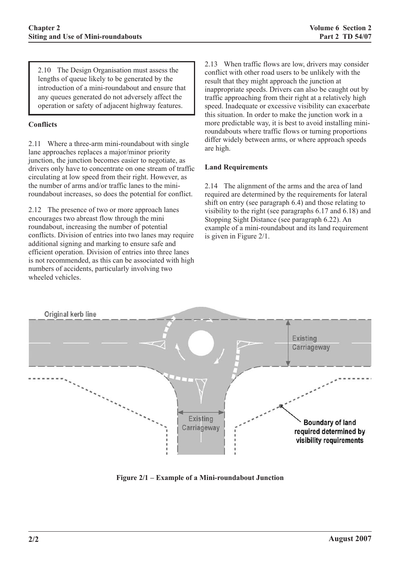2.10 The Design Organisation must assess the lengths of queue likely to be generated by the introduction of a mini-roundabout and ensure that any queues generated do not adversely affect the operation or safety of adjacent highway features.

### **Conflicts**

2.11 Where a three-arm mini-roundabout with single lane approaches replaces a major/minor priority junction, the junction becomes easier to negotiate, as drivers only have to concentrate on one stream of traffic circulating at low speed from their right. However, as the number of arms and/or traffic lanes to the miniroundabout increases, so does the potential for conflict.

2.12 The presence of two or more approach lanes encourages two abreast flow through the mini roundabout, increasing the number of potential conflicts. Division of entries into two lanes may require additional signing and marking to ensure safe and efficient operation. Division of entries into three lanes is not recommended, as this can be associated with high numbers of accidents, particularly involving two wheeled vehicles.

2.13 When traffic flows are low, drivers may consider conflict with other road users to be unlikely with the result that they might approach the junction at inappropriate speeds. Drivers can also be caught out by traffic approaching from their right at a relatively high speed. Inadequate or excessive visibility can exacerbate this situation. In order to make the junction work in a more predictable way, it is best to avoid installing miniroundabouts where traffic flows or turning proportions differ widely between arms, or where approach speeds are high.

#### **Land Requirements**

2.14 The alignment of the arms and the area of land required are determined by the requirements for lateral shift on entry (see paragraph 6.4) and those relating to visibility to the right (see paragraphs 6.17 and 6.18) and Stopping Sight Distance (see paragraph 6.22). An example of a mini-roundabout and its land requirement is given in Figure 2/1.



**Figure 2/1 – Example of a Mini-roundabout Junction**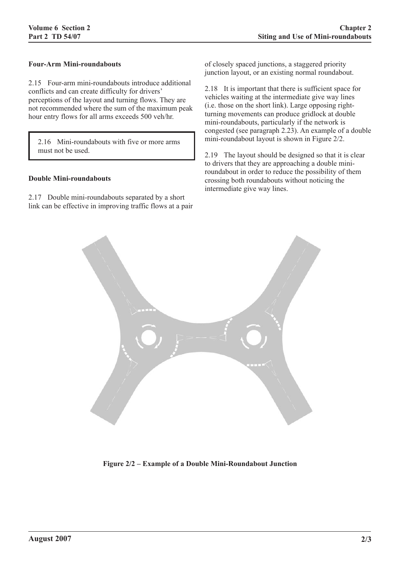#### **Four-Arm Mini-roundabouts**

2.15 Four-arm mini-roundabouts introduce additional conflicts and can create difficulty for drivers' perceptions of the layout and turning flows. They are not recommended where the sum of the maximum peak hour entry flows for all arms exceeds 500 veh/hr.

2.16 Mini-roundabouts with five or more arms must not be used.

#### **Double Mini-roundabouts**

2.17 Double mini-roundabouts separated by a short link can be effective in improving traffic flows at a pair of closely spaced junctions, a staggered priority junction layout, or an existing normal roundabout.

2.18 It is important that there is sufficient space for vehicles waiting at the intermediate give way lines (i.e. those on the short link). Large opposing rightturning movements can produce gridlock at double mini-roundabouts, particularly if the network is congested (see paragraph 2.23). An example of a double mini-roundabout layout is shown in Figure 2/2.

2.19 The layout should be designed so that it is clear to drivers that they are approaching a double miniroundabout in order to reduce the possibility of them crossing both roundabouts without noticing the intermediate give way lines.



**Figure 2/2 – Example of a Double Mini-Roundabout Junction**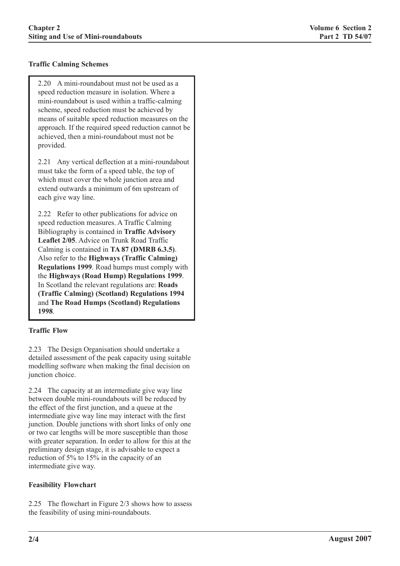### **Traffic Calming Schemes**

2.20 A mini-roundabout must not be used as a speed reduction measure in isolation. Where a mini-roundabout is used within a traffic-calming scheme, speed reduction must be achieved by means of suitable speed reduction measures on the approach. If the required speed reduction cannot be achieved, then a mini-roundabout must not be provided.

2.21 Any vertical deflection at a mini-roundabout must take the form of a speed table, the top of which must cover the whole junction area and extend outwards a minimum of 6m upstream of each give way line.

2.22 Refer to other publications for advice on speed reduction measures. A Traffic Calming Bibliography is contained in **Traffic Advisory Leaflet 2/05**. Advice on Trunk Road Traffic Calming is contained in **TA 87 (DMRB 6.3.5)**. Also refer to the **Highways (Traffic Calming) Regulations 1999**. Road humps must comply with the **Highways (Road Hump) Regulations 1999**. In Scotland the relevant regulations are: **Roads (Traffic Calming) (Scotland) Regulations 1994** and **The Road Humps (Scotland) Regulations 1998**.

#### **Traffic Flow**

2.23 The Design Organisation should undertake a detailed assessment of the peak capacity using suitable modelling software when making the final decision on junction choice.

2.24 The capacity at an intermediate give way line between double mini-roundabouts will be reduced by the effect of the first junction, and a queue at the intermediate give way line may interact with the first junction. Double junctions with short links of only one or two car lengths will be more susceptible than those with greater separation. In order to allow for this at the preliminary design stage, it is advisable to expect a reduction of 5% to 15% in the capacity of an intermediate give way.

#### **Feasibility Flowchart**

2.25 The flowchart in Figure 2/3 shows how to assess the feasibility of using mini-roundabouts.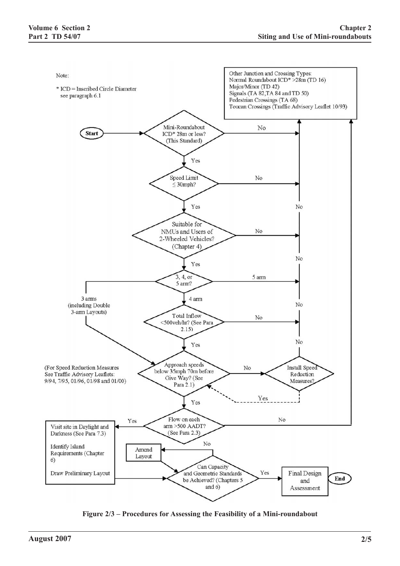

**Figure 2/3 – Procedures for Assessing the Feasibility of a Mini-roundabout**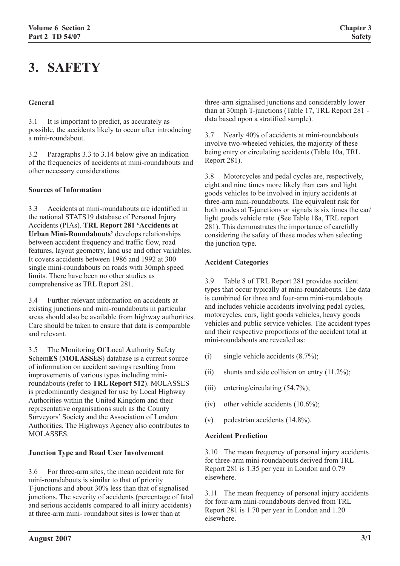# **3. SAFETY**

#### **General**

3.1 It is important to predict, as accurately as possible, the accidents likely to occur after introducing a mini-roundabout.

3.2 Paragraphs 3.3 to 3.14 below give an indication of the frequencies of accidents at mini-roundabouts and other necessary considerations.

#### **Sources of Information**

3.3 Accidents at mini-roundabouts are identified in the national STATS19 database of Personal Injury Accidents (PIAs). **TRL Report 281 'Accidents at Urban Mini-Roundabouts'** develops relationships between accident frequency and traffic flow, road features, layout geometry, land use and other variables. It covers accidents between 1986 and 1992 at 300 single mini-roundabouts on roads with 30mph speed limits. There have been no other studies as comprehensive as TRL Report 281.

3.4 Further relevant information on accidents at existing junctions and mini-roundabouts in particular areas should also be available from highway authorities. Care should be taken to ensure that data is comparable and relevant.

3.5 The **M**onitoring **O**f **L**ocal **A**uthority **S**afety **S**chem**ES** (**MOLASSES**) database is a current source of information on accident savings resulting from improvements of various types including miniroundabouts (refer to **TRL Report 512**). MOLASSES is predominantly designed for use by Local Highway Authorities within the United Kingdom and their representative organisations such as the County Surveyors' Society and the Association of London Authorities. The Highways Agency also contributes to MOLASSES.

#### **Junction Type and Road User Involvement**

3.6 For three-arm sites, the mean accident rate for mini-roundabouts is similar to that of priority T-junctions and about 30% less than that of signalised junctions. The severity of accidents (percentage of fatal and serious accidents compared to all injury accidents) at three-arm mini- roundabout sites is lower than at

three-arm signalised junctions and considerably lower than at 30mph T-junctions (Table 17, TRL Report 281 data based upon a stratified sample).

3.7 Nearly 40% of accidents at mini-roundabouts involve two-wheeled vehicles, the majority of these being entry or circulating accidents (Table 10a, TRL Report 281).

3.8 Motorcycles and pedal cycles are, respectively, eight and nine times more likely than cars and light goods vehicles to be involved in injury accidents at three-arm mini-roundabouts. The equivalent risk for both modes at T-junctions or signals is six times the car/ light goods vehicle rate. (See Table 18a, TRL report 281). This demonstrates the importance of carefully considering the safety of these modes when selecting the junction type.

#### **Accident Categories**

3.9 Table 8 of TRL Report 281 provides accident types that occur typically at mini-roundabouts. The data is combined for three and four-arm mini-roundabouts and includes vehicle accidents involving pedal cycles, motorcycles, cars, light goods vehicles, heavy goods vehicles and public service vehicles. The accident types and their respective proportions of the accident total at mini-roundabouts are revealed as:

- (i) single vehicle accidents  $(8.7\%)$ ;
- (ii) shunts and side collision on entry  $(11.2\%)$ ;
- (iii) entering/circulating  $(54.7\%)$ ;
- (iv) other vehicle accidents  $(10.6\%)$ ;
- (v) pedestrian accidents (14.8%).

#### **Accident Prediction**

3.10 The mean frequency of personal injury accidents for three-arm mini-roundabouts derived from TRL Report 281 is 1.35 per year in London and 0.79 elsewhere.

3.11 The mean frequency of personal injury accidents for four-arm mini-roundabouts derived from TRL Report 281 is 1.70 per year in London and 1.20 elsewhere.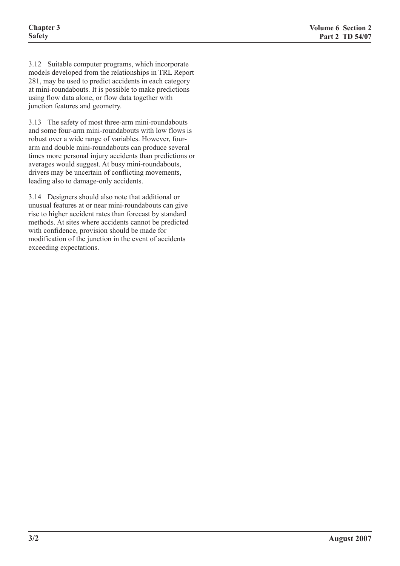3.12 Suitable computer programs, which incorporate models developed from the relationships in TRL Report 281, may be used to predict accidents in each category at mini-roundabouts. It is possible to make predictions using flow data alone, or flow data together with junction features and geometry.

3.13 The safety of most three-arm mini-roundabouts and some four-arm mini-roundabouts with low flows is robust over a wide range of variables. However, fourarm and double mini-roundabouts can produce several times more personal injury accidents than predictions or averages would suggest. At busy mini-roundabouts, drivers may be uncertain of conflicting movements, leading also to damage-only accidents.

3.14 Designers should also note that additional or unusual features at or near mini-roundabouts can give rise to higher accident rates than forecast by standard methods. At sites where accidents cannot be predicted with confidence, provision should be made for modification of the junction in the event of accidents exceeding expectations.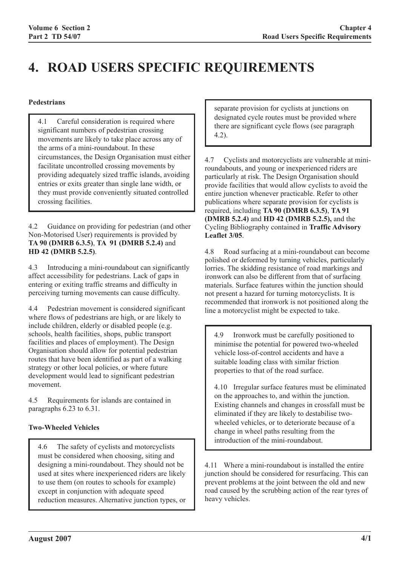# **4. ROAD USERS SPECIFIC REQUIREMENTS**

### **Pedestrians**

4.1 Careful consideration is required where significant numbers of pedestrian crossing movements are likely to take place across any of the arms of a mini-roundabout. In these circumstances, the Design Organisation must either facilitate uncontrolled crossing movements by providing adequately sized traffic islands, avoiding entries or exits greater than single lane width, or they must provide conveniently situated controlled crossing facilities.

4.2 Guidance on providing for pedestrian (and other Non-Motorised User) requirements is provided by **TA 90 (DMRB 6.3.5)**, **TA 91 (DMRB 5.2.4)** and **HD 42 (DMRB 5.2.5)**.

4.3 Introducing a mini-roundabout can significantly affect accessibility for pedestrians. Lack of gaps in entering or exiting traffic streams and difficulty in perceiving turning movements can cause difficulty.

4.4 Pedestrian movement is considered significant where flows of pedestrians are high, or are likely to include children, elderly or disabled people (e.g. schools, health facilities, shops, public transport facilities and places of employment). The Design Organisation should allow for potential pedestrian routes that have been identified as part of a walking strategy or other local policies, or where future development would lead to significant pedestrian movement.

4.5 Requirements for islands are contained in paragraphs 6.23 to 6.31.

# **Two-Wheeled Vehicles**

4.6 The safety of cyclists and motorcyclists must be considered when choosing, siting and designing a mini-roundabout. They should not be used at sites where inexperienced riders are likely to use them (on routes to schools for example) except in conjunction with adequate speed reduction measures. Alternative junction types, or

separate provision for cyclists at junctions on designated cycle routes must be provided where there are significant cycle flows (see paragraph 4.2).

4.7 Cyclists and motorcyclists are vulnerable at miniroundabouts, and young or inexperienced riders are particularly at risk. The Design Organisation should provide facilities that would allow cyclists to avoid the entire junction whenever practicable. Refer to other publications where separate provision for cyclists is required, including **TA 90 (DMRB 6.3.5)**, **TA 91 (DMRB 5.2.4)** and **HD 42 (DMRB 5.2.5),** and the Cycling Bibliography contained in **Traffic Advisory Leaflet 3/05**.

4.8 Road surfacing at a mini-roundabout can become polished or deformed by turning vehicles, particularly lorries. The skidding resistance of road markings and ironwork can also be different from that of surfacing materials. Surface features within the junction should not present a hazard for turning motorcyclists. It is recommended that ironwork is not positioned along the line a motorcyclist might be expected to take.

4.9 Ironwork must be carefully positioned to minimise the potential for powered two-wheeled vehicle loss-of-control accidents and have a suitable loading class with similar friction properties to that of the road surface.

4.10 Irregular surface features must be eliminated on the approaches to, and within the junction. Existing channels and changes in crossfall must be eliminated if they are likely to destabilise twowheeled vehicles, or to deteriorate because of a change in wheel paths resulting from the introduction of the mini-roundabout.

4.11 Where a mini-roundabout is installed the entire junction should be considered for resurfacing. This can prevent problems at the joint between the old and new road caused by the scrubbing action of the rear tyres of heavy vehicles.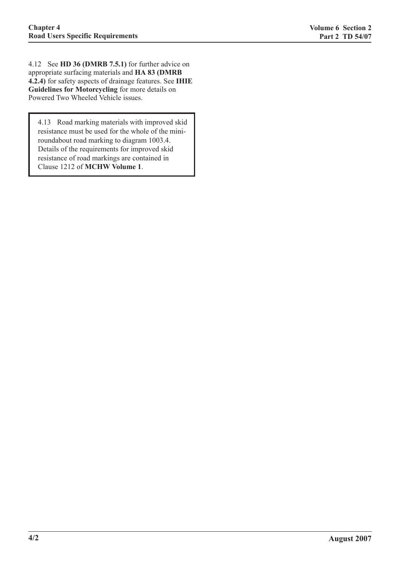4.12 See **HD 36 (DMRB 7.5.1)** for further advice on appropriate surfacing materials and **HA 83 (DMRB 4.2.4)** for safety aspects of drainage features. See **IHIE Guidelines for Motorcycling** for more details on Powered Two Wheeled Vehicle issues.

4.13 Road marking materials with improved skid resistance must be used for the whole of the miniroundabout road marking to diagram 1003.4. Details of the requirements for improved skid resistance of road markings are contained in Clause 1212 of **MCHW Volume 1**.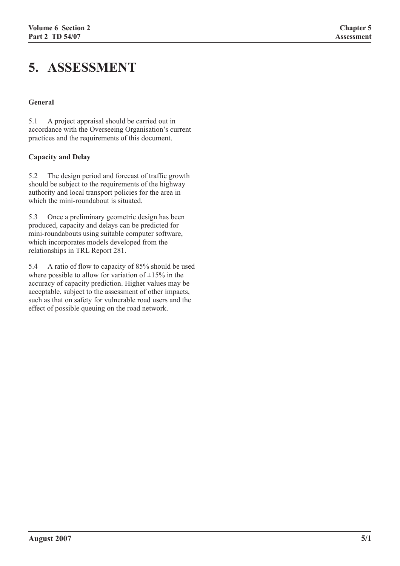# **5. ASSESSMENT**

#### **General**

5.1 A project appraisal should be carried out in accordance with the Overseeing Organisation's current practices and the requirements of this document.

#### **Capacity and Delay**

5.2 The design period and forecast of traffic growth should be subject to the requirements of the highway authority and local transport policies for the area in which the mini-roundabout is situated.

5.3 Once a preliminary geometric design has been produced, capacity and delays can be predicted for mini-roundabouts using suitable computer software, which incorporates models developed from the relationships in TRL Report 281.

5.4 A ratio of flow to capacity of 85% should be used where possible to allow for variation of  $\pm 15\%$  in the accuracy of capacity prediction. Higher values may be acceptable, subject to the assessment of other impacts, such as that on safety for vulnerable road users and the effect of possible queuing on the road network.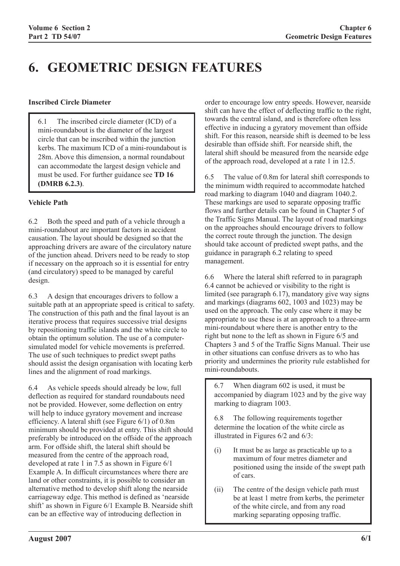# **6. GEOMETRIC DESIGN FEATURES**

#### **Inscribed Circle Diameter**

6.1 The inscribed circle diameter (ICD) of a mini-roundabout is the diameter of the largest circle that can be inscribed within the junction kerbs. The maximum ICD of a mini-roundabout is 28m. Above this dimension, a normal roundabout can accommodate the largest design vehicle and must be used. For further guidance see **TD 16 (DMRB 6.2.3)**.

### **Vehicle Path**

6.2 Both the speed and path of a vehicle through a mini-roundabout are important factors in accident causation. The layout should be designed so that the approaching drivers are aware of the circulatory nature of the junction ahead. Drivers need to be ready to stop if necessary on the approach so it is essential for entry (and circulatory) speed to be managed by careful design.

6.3 A design that encourages drivers to follow a suitable path at an appropriate speed is critical to safety. The construction of this path and the final layout is an iterative process that requires successive trial designs by repositioning traffic islands and the white circle to obtain the optimum solution. The use of a computersimulated model for vehicle movements is preferred. The use of such techniques to predict swept paths should assist the design organisation with locating kerb lines and the alignment of road markings.

6.4 As vehicle speeds should already be low, full deflection as required for standard roundabouts need not be provided. However, some deflection on entry will help to induce gyratory movement and increase efficiency. A lateral shift (see Figure 6/1) of 0.8m minimum should be provided at entry. This shift should preferably be introduced on the offside of the approach arm. For offside shift, the lateral shift should be measured from the centre of the approach road, developed at rate 1 in 7.5 as shown in Figure 6/1 Example A. In difficult circumstances where there are land or other constraints, it is possible to consider an alternative method to develop shift along the nearside carriageway edge. This method is defined as 'nearside shift' as shown in Figure 6/1 Example B. Nearside shift can be an effective way of introducing deflection in

order to encourage low entry speeds. However, nearside shift can have the effect of deflecting traffic to the right, towards the central island, and is therefore often less effective in inducing a gyratory movement than offside shift. For this reason, nearside shift is deemed to be less desirable than offside shift. For nearside shift, the lateral shift should be measured from the nearside edge of the approach road, developed at a rate 1 in 12.5.

6.5 The value of 0.8m for lateral shift corresponds to the minimum width required to accommodate hatched road marking to diagram 1040 and diagram 1040.2. These markings are used to separate opposing traffic flows and further details can be found in Chapter 5 of the Traffic Signs Manual. The layout of road markings on the approaches should encourage drivers to follow the correct route through the junction. The design should take account of predicted swept paths, and the guidance in paragraph 6.2 relating to speed management.

6.6 Where the lateral shift referred to in paragraph 6.4 cannot be achieved or visibility to the right is limited (see paragraph 6.17), mandatory give way signs and markings (diagrams 602, 1003 and 1023) may be used on the approach. The only case where it may be appropriate to use these is at an approach to a three-arm mini-roundabout where there is another entry to the right but none to the left as shown in Figure 6/5 and Chapters 3 and 5 of the Traffic Signs Manual. Their use in other situations can confuse drivers as to who has priority and undermines the priority rule established for mini-roundabouts.

6.7 When diagram 602 is used, it must be accompanied by diagram 1023 and by the give way marking to diagram 1003.

6.8 The following requirements together determine the location of the white circle as illustrated in Figures 6/2 and 6/3:

- (i) It must be as large as practicable up to a maximum of four metres diameter and positioned using the inside of the swept path of cars.
- (ii) The centre of the design vehicle path must be at least 1 metre from kerbs, the perimeter of the white circle, and from any road marking separating opposing traffic.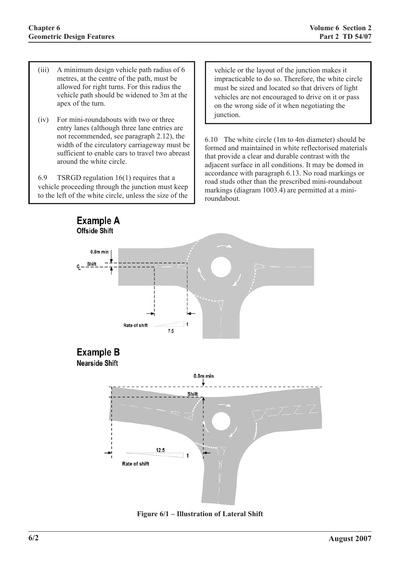- (iii) A minimum design vehicle path radius of 6 metres, at the centre of the path, must be allowed for right turns. For this radius the vehicle path should be widened to 3m at the apex of the turn.
- (iv) For mini-roundabouts with two or three entry lanes (although three lane entries are not recommended, see paragraph 2.12), the width of the circulatory carriageway must be sufficient to enable cars to travel two abreast around the white circle.

6.9 TSRGD regulation 16(1) requires that a vehicle proceeding through the junction must keep to the left of the white circle, unless the size of the

vehicle or the layout of the junction makes it impracticable to do so. Therefore, the white circle must be sized and located so that drivers of light vehicles are not encouraged to drive on it or pass on the wrong side of it when negotiating the junction.

6.10 The white circle (1m to 4m diameter) should be formed and maintained in white reflectorised materials that provide a clear and durable contrast with the adjacent surface in all conditions. It may be domed in accordance with paragraph 6.13. No road markings or road studs other than the prescribed mini-roundabout markings (diagram 1003.4) are permitted at a miniroundabout.



**Figure 6/1 – Illustration of Lateral Shift**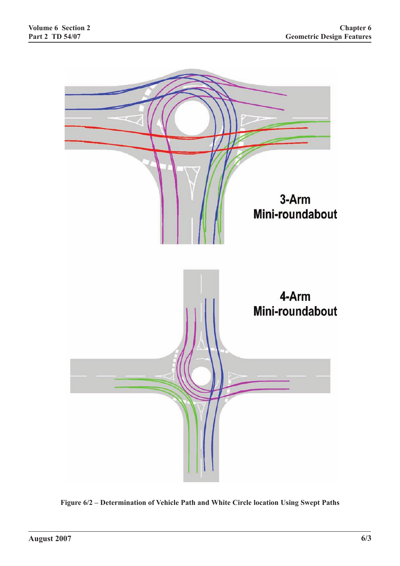

**Figure 6/2 – Determination of Vehicle Path and White Circle location Using Swept Paths**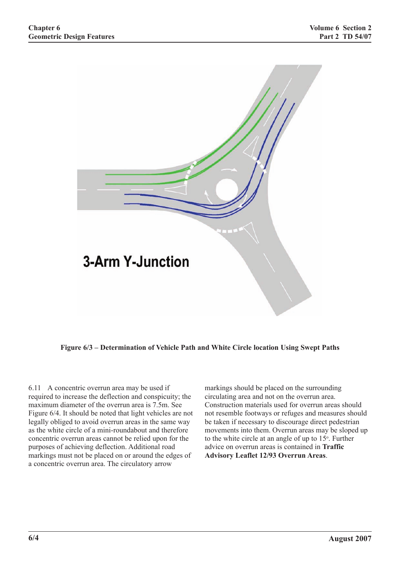

**Figure 6/3 – Determination of Vehicle Path and White Circle location Using Swept Paths**

6.11 A concentric overrun area may be used if required to increase the deflection and conspicuity; the maximum diameter of the overrun area is 7.5m. See Figure 6/4. It should be noted that light vehicles are not legally obliged to avoid overrun areas in the same way as the white circle of a mini-roundabout and therefore concentric overrun areas cannot be relied upon for the purposes of achieving deflection. Additional road markings must not be placed on or around the edges of a concentric overrun area. The circulatory arrow

markings should be placed on the surrounding circulating area and not on the overrun area. Construction materials used for overrun areas should not resemble footways or refuges and measures should be taken if necessary to discourage direct pedestrian movements into them. Overrun areas may be sloped up to the white circle at an angle of up to  $15^\circ$ . Further advice on overrun areas is contained in **Traffic Advisory Leaflet 12/93 Overrun Areas**.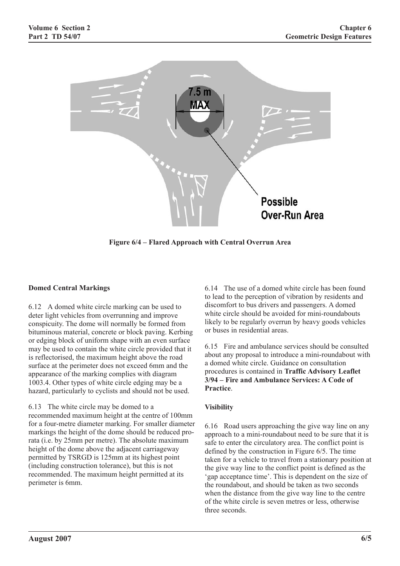

**Figure 6/4 – Flared Approach with Central Overrun Area**

# **Domed Central Markings**

6.12 A domed white circle marking can be used to deter light vehicles from overrunning and improve conspicuity. The dome will normally be formed from bituminous material, concrete or block paving. Kerbing or edging block of uniform shape with an even surface may be used to contain the white circle provided that it is reflectorised, the maximum height above the road surface at the perimeter does not exceed 6mm and the appearance of the marking complies with diagram 1003.4. Other types of white circle edging may be a hazard, particularly to cyclists and should not be used.

6.13 The white circle may be domed to a recommended maximum height at the centre of 100mm for a four-metre diameter marking. For smaller diameter markings the height of the dome should be reduced prorata (i.e. by 25mm per metre). The absolute maximum height of the dome above the adjacent carriageway permitted by TSRGD is 125mm at its highest point (including construction tolerance), but this is not recommended. The maximum height permitted at its perimeter is 6mm.

6.14 The use of a domed white circle has been found to lead to the perception of vibration by residents and discomfort to bus drivers and passengers. A domed white circle should be avoided for mini-roundabouts likely to be regularly overrun by heavy goods vehicles or buses in residential areas.

6.15 Fire and ambulance services should be consulted about any proposal to introduce a mini-roundabout with a domed white circle. Guidance on consultation procedures is contained in **Traffic Advisory Leaflet 3/94 – Fire and Ambulance Services: A Code of Practice**.

# **Visibility**

6.16 Road users approaching the give way line on any approach to a mini-roundabout need to be sure that it is safe to enter the circulatory area. The conflict point is defined by the construction in Figure 6/5. The time taken for a vehicle to travel from a stationary position at the give way line to the conflict point is defined as the 'gap acceptance time'. This is dependent on the size of the roundabout, and should be taken as two seconds when the distance from the give way line to the centre of the white circle is seven metres or less, otherwise three seconds.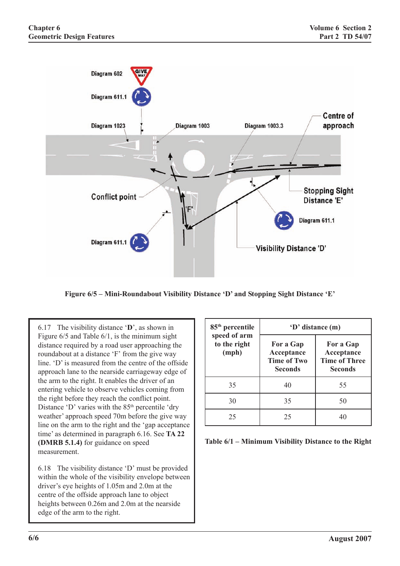

**Figure 6/5 – Mini-Roundabout Visibility Distance 'D' and Stopping Sight Distance 'E'**

6.17 The visibility distance '**D**', as shown in Figure 6/5 and Table 6/1, is the minimum sight distance required by a road user approaching the roundabout at a distance 'F' from the give way line. 'D' is measured from the centre of the offside approach lane to the nearside carriageway edge of the arm to the right. It enables the driver of an entering vehicle to observe vehicles coming from the right before they reach the conflict point. Distance 'D' varies with the  $85<sup>th</sup>$  percentile 'dry weather' approach speed 70m before the give way line on the arm to the right and the 'gap acceptance time' as determined in paragraph 6.16. See **TA 22 (DMRB 5.1.4)** for guidance on speed measurement.

6.18 The visibility distance 'D' must be provided within the whole of the visibility envelope between driver's eye heights of 1.05m and 2.0m at the centre of the offside approach lane to object heights between 0.26m and 2.0m at the nearside edge of the arm to the right.

| 85 <sup>th</sup> percentile           | 'D' distance (m)                                                |                                                                   |  |
|---------------------------------------|-----------------------------------------------------------------|-------------------------------------------------------------------|--|
| speed of arm<br>to the right<br>(mph) | For a Gap<br>Acceptance<br><b>Time of Two</b><br><b>Seconds</b> | For a Gap<br>Acceptance<br><b>Time of Three</b><br><b>Seconds</b> |  |
| 35                                    | 40                                                              | 55                                                                |  |
| 30                                    | 35                                                              | 50                                                                |  |
| 25                                    | 25                                                              |                                                                   |  |

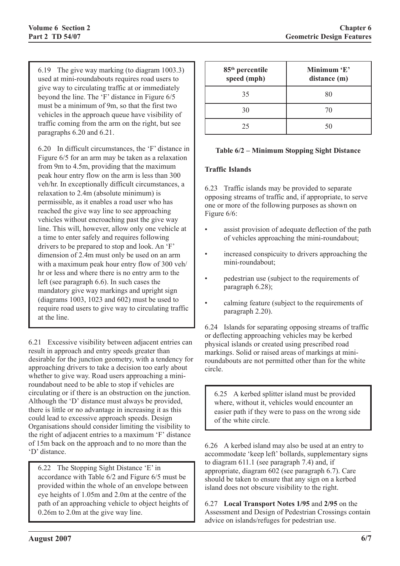6.19 The give way marking (to diagram 1003.3) used at mini-roundabouts requires road users to give way to circulating traffic at or immediately beyond the line. The 'F' distance in Figure 6/5 must be a minimum of 9m, so that the first two vehicles in the approach queue have visibility of traffic coming from the arm on the right, but see paragraphs 6.20 and 6.21.

6.20 In difficult circumstances, the 'F' distance in Figure 6/5 for an arm may be taken as a relaxation from 9m to 4.5m, providing that the maximum peak hour entry flow on the arm is less than 300 veh/hr. In exceptionally difficult circumstances, a relaxation to 2.4m (absolute minimum) is permissible, as it enables a road user who has reached the give way line to see approaching vehicles without encroaching past the give way line. This will, however, allow only one vehicle at a time to enter safely and requires following drivers to be prepared to stop and look. An 'F' dimension of 2.4m must only be used on an arm with a maximum peak hour entry flow of 300 veh/ hr or less and where there is no entry arm to the left (see paragraph 6.6). In such cases the mandatory give way markings and upright sign (diagrams 1003, 1023 and 602) must be used to require road users to give way to circulating traffic at the line.

6.21 Excessive visibility between adjacent entries can result in approach and entry speeds greater than desirable for the junction geometry, with a tendency for approaching drivers to take a decision too early about whether to give way. Road users approaching a miniroundabout need to be able to stop if vehicles are circulating or if there is an obstruction on the junction. Although the 'D' distance must always be provided, there is little or no advantage in increasing it as this could lead to excessive approach speeds. Design Organisations should consider limiting the visibility to the right of adjacent entries to a maximum 'F' distance of 15m back on the approach and to no more than the 'D' distance.

6.22 The Stopping Sight Distance 'E' in accordance with Table 6/2 and Figure 6/5 must be provided within the whole of an envelope between eye heights of 1.05m and 2.0m at the centre of the path of an approaching vehicle to object heights of 0.26m to 2.0m at the give way line.

| 85 <sup>th</sup> percentile<br>speed (mph) | Minimum 'E'<br>distance (m) |  |
|--------------------------------------------|-----------------------------|--|
| 35                                         | 80                          |  |
| 30                                         | 70                          |  |
| 25                                         | 50                          |  |

#### **Table 6/2 – Minimum Stopping Sight Distance**

#### **Traffic Islands**

6.23 Traffic islands may be provided to separate opposing streams of traffic and, if appropriate, to serve one or more of the following purposes as shown on Figure 6/6:

- assist provision of adequate deflection of the path of vehicles approaching the mini-roundabout;
- increased conspicuity to drivers approaching the mini-roundabout;
- pedestrian use (subject to the requirements of paragraph 6.28);
- calming feature (subject to the requirements of paragraph 2.20).

6.24 Islands for separating opposing streams of traffic or deflecting approaching vehicles may be kerbed physical islands or created using prescribed road markings. Solid or raised areas of markings at miniroundabouts are not permitted other than for the white circle.

6.25 A kerbed splitter island must be provided where, without it, vehicles would encounter an easier path if they were to pass on the wrong side of the white circle.

6.26 A kerbed island may also be used at an entry to accommodate 'keep left' bollards, supplementary signs to diagram 611.1 (see paragraph 7.4) and, if appropriate, diagram 602 (see paragraph 6.7). Care should be taken to ensure that any sign on a kerbed island does not obscure visibility to the right.

6.27 **Local Transport Notes 1/95** and **2/95** on the Assessment and Design of Pedestrian Crossings contain advice on islands/refuges for pedestrian use.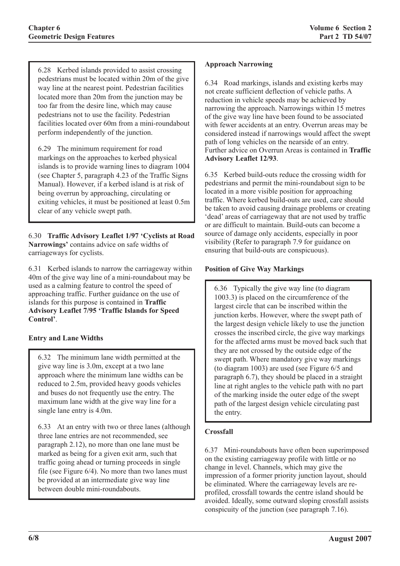6.28 Kerbed islands provided to assist crossing pedestrians must be located within 20m of the give way line at the nearest point. Pedestrian facilities located more than 20m from the junction may be too far from the desire line, which may cause pedestrians not to use the facility. Pedestrian facilities located over 60m from a mini-roundabout perform independently of the junction.

6.29 The minimum requirement for road markings on the approaches to kerbed physical islands is to provide warning lines to diagram 1004 (see Chapter 5, paragraph 4.23 of the Traffic Signs Manual). However, if a kerbed island is at risk of being overrun by approaching, circulating or exiting vehicles, it must be positioned at least 0.5m clear of any vehicle swept path.

6.30 **Traffic Advisory Leaflet 1/97 'Cyclists at Road Narrowings'** contains advice on safe widths of carriageways for cyclists.

6.31 Kerbed islands to narrow the carriageway within 40m of the give way line of a mini-roundabout may be used as a calming feature to control the speed of approaching traffic. Further guidance on the use of islands for this purpose is contained in **Traffic Advisory Leaflet 7/95 'Traffic Islands for Speed Control'**.

# **Entry and Lane Widths**

6.32 The minimum lane width permitted at the give way line is 3.0m, except at a two lane approach where the minimum lane widths can be reduced to 2.5m, provided heavy goods vehicles and buses do not frequently use the entry. The maximum lane width at the give way line for a single lane entry is 4.0m.

6.33 At an entry with two or three lanes (although three lane entries are not recommended, see paragraph 2.12), no more than one lane must be marked as being for a given exit arm, such that traffic going ahead or turning proceeds in single file (see Figure 6/4). No more than two lanes must be provided at an intermediate give way line between double mini-roundabouts.

#### **Approach Narrowing**

6.34 Road markings, islands and existing kerbs may not create sufficient deflection of vehicle paths. A reduction in vehicle speeds may be achieved by narrowing the approach. Narrowings within 15 metres of the give way line have been found to be associated with fewer accidents at an entry. Overrun areas may be considered instead if narrowings would affect the swept path of long vehicles on the nearside of an entry. Further advice on Overrun Areas is contained in **Traffic Advisory Leaflet 12/93**.

6.35 Kerbed build-outs reduce the crossing width for pedestrians and permit the mini-roundabout sign to be located in a more visible position for approaching traffic. Where kerbed build-outs are used, care should be taken to avoid causing drainage problems or creating 'dead' areas of carriageway that are not used by traffic or are difficult to maintain. Build-outs can become a source of damage only accidents, especially in poor visibility (Refer to paragraph 7.9 for guidance on ensuring that build-outs are conspicuous).

### **Position of Give Way Markings**

6.36 Typically the give way line (to diagram 1003.3) is placed on the circumference of the largest circle that can be inscribed within the junction kerbs. However, where the swept path of the largest design vehicle likely to use the junction crosses the inscribed circle, the give way markings for the affected arms must be moved back such that they are not crossed by the outside edge of the swept path. Where mandatory give way markings (to diagram 1003) are used (see Figure 6/5 and paragraph 6.7), they should be placed in a straight line at right angles to the vehicle path with no part of the marking inside the outer edge of the swept path of the largest design vehicle circulating past the entry.

# **Crossfall**

6.37 Mini-roundabouts have often been superimposed on the existing carriageway profile with little or no change in level. Channels, which may give the impression of a former priority junction layout, should be eliminated. Where the carriageway levels are reprofiled, crossfall towards the centre island should be avoided. Ideally, some outward sloping crossfall assists conspicuity of the junction (see paragraph 7.16).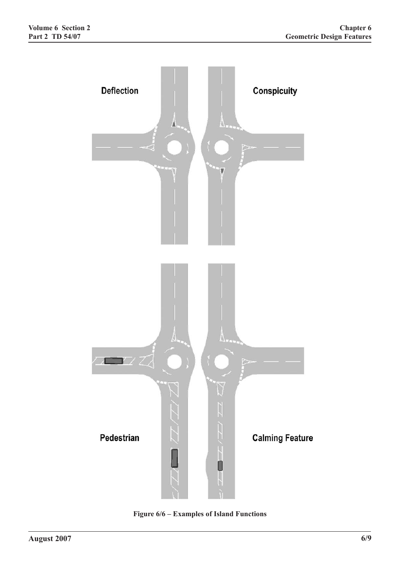

**Figure 6/6 – Examples of Island Functions**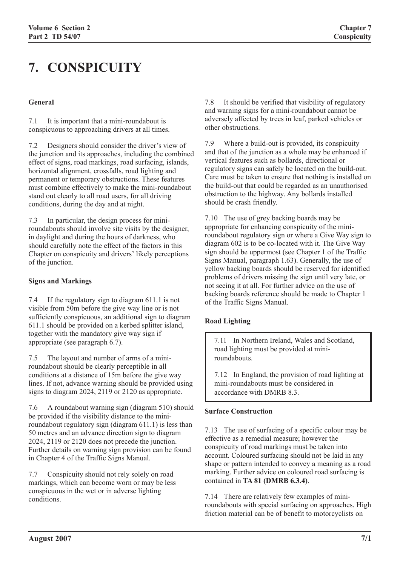# **7. CONSPICUITY**

#### **General**

7.1 It is important that a mini-roundabout is conspicuous to approaching drivers at all times.

7.2 Designers should consider the driver's view of the junction and its approaches, including the combined effect of signs, road markings, road surfacing, islands, horizontal alignment, crossfalls, road lighting and permanent or temporary obstructions. These features must combine effectively to make the mini-roundabout stand out clearly to all road users, for all driving conditions, during the day and at night.

7.3 In particular, the design process for miniroundabouts should involve site visits by the designer, in daylight and during the hours of darkness, who should carefully note the effect of the factors in this Chapter on conspicuity and drivers' likely perceptions of the junction.

#### **Signs and Markings**

7.4 If the regulatory sign to diagram 611.1 is not visible from 50m before the give way line or is not sufficiently conspicuous, an additional sign to diagram 611.1 should be provided on a kerbed splitter island, together with the mandatory give way sign if appropriate (see paragraph 6.7).

7.5 The layout and number of arms of a miniroundabout should be clearly perceptible in all conditions at a distance of 15m before the give way lines. If not, advance warning should be provided using signs to diagram 2024, 2119 or 2120 as appropriate.

7.6 A roundabout warning sign (diagram 510) should be provided if the visibility distance to the miniroundabout regulatory sign (diagram 611.1) is less than 50 metres and an advance direction sign to diagram 2024, 2119 or 2120 does not precede the junction. Further details on warning sign provision can be found in Chapter 4 of the Traffic Signs Manual.

7.7 Conspicuity should not rely solely on road markings, which can become worn or may be less conspicuous in the wet or in adverse lighting conditions.

7.8 It should be verified that visibility of regulatory and warning signs for a mini-roundabout cannot be adversely affected by trees in leaf, parked vehicles or other obstructions.

7.9 Where a build-out is provided, its conspicuity and that of the junction as a whole may be enhanced if vertical features such as bollards, directional or regulatory signs can safely be located on the build-out. Care must be taken to ensure that nothing is installed on the build-out that could be regarded as an unauthorised obstruction to the highway. Any bollards installed should be crash friendly.

7.10 The use of grey backing boards may be appropriate for enhancing conspicuity of the miniroundabout regulatory sign or where a Give Way sign to diagram 602 is to be co-located with it. The Give Way sign should be uppermost (see Chapter 1 of the Traffic Signs Manual, paragraph 1.63). Generally, the use of yellow backing boards should be reserved for identified problems of drivers missing the sign until very late, or not seeing it at all. For further advice on the use of backing boards reference should be made to Chapter 1 of the Traffic Signs Manual.

#### **Road Lighting**

7.11 In Northern Ireland, Wales and Scotland, road lighting must be provided at miniroundabouts.

7.12 In England, the provision of road lighting at mini-roundabouts must be considered in accordance with DMRB 8.3.

#### **Surface Construction**

7.13 The use of surfacing of a specific colour may be effective as a remedial measure; however the conspicuity of road markings must be taken into account. Coloured surfacing should not be laid in any shape or pattern intended to convey a meaning as a road marking. Further advice on coloured road surfacing is contained in **TA 81 (DMRB 6.3.4)**.

7.14 There are relatively few examples of miniroundabouts with special surfacing on approaches. High friction material can be of benefit to motorcyclists on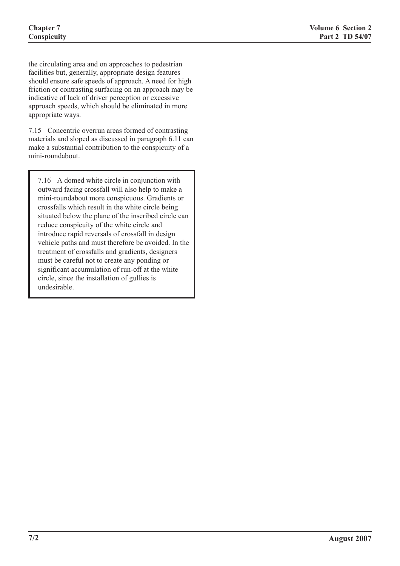the circulating area and on approaches to pedestrian facilities but, generally, appropriate design features should ensure safe speeds of approach. A need for high friction or contrasting surfacing on an approach may be indicative of lack of driver perception or excessive approach speeds, which should be eliminated in more appropriate ways.

7.15 Concentric overrun areas formed of contrasting materials and sloped as discussed in paragraph 6.11 can make a substantial contribution to the conspicuity of a mini-roundabout.

7.16 A domed white circle in conjunction with outward facing crossfall will also help to make a mini-roundabout more conspicuous. Gradients or crossfalls which result in the white circle being situated below the plane of the inscribed circle can reduce conspicuity of the white circle and introduce rapid reversals of crossfall in design vehicle paths and must therefore be avoided. In the treatment of crossfalls and gradients, designers must be careful not to create any ponding or significant accumulation of run-off at the white circle, since the installation of gullies is undesirable.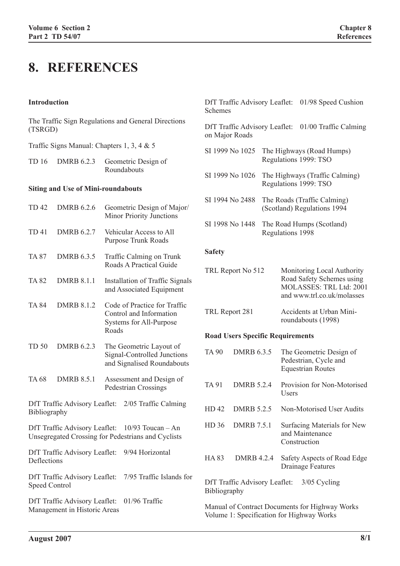# **8. REFERENCES**

#### **Introduction**

The Traffic Sign Regulations and General Directions (TSRGD)

Traffic Signs Manual: Chapters 1, 3, 4 & 5

TD 16 DMRB 6.2.3 Geometric Design of Roundabouts

#### **Siting and Use of Mini-roundabouts**

| <b>TD42</b>                                                                                      | <b>DMRB 6.2.6</b>             | Geometric Design of Major/<br><b>Minor Priority Junctions</b>                               |             |  |
|--------------------------------------------------------------------------------------------------|-------------------------------|---------------------------------------------------------------------------------------------|-------------|--|
| <b>TD41</b>                                                                                      | <b>DMRB 6.2.7</b>             | Vehicular Access to All<br><b>Purpose Trunk Roads</b>                                       | S.          |  |
| <b>TA 87</b>                                                                                     | <b>DMRB 6.3.5</b>             | Traffic Calming on Trunk<br>Roads A Practical Guide                                         | $S_i$<br>T. |  |
| <b>TA 82</b>                                                                                     | <b>DMRB 8.1.1</b>             | Installation of Traffic Signals<br>and Associated Equipment                                 |             |  |
| <b>TA 84</b>                                                                                     | <b>DMRB 8.1.2</b>             | Code of Practice for Traffic<br>Control and Information<br>Systems for All-Purpose<br>Roads | T           |  |
|                                                                                                  |                               |                                                                                             | $\bf R$     |  |
| <b>TD 50</b>                                                                                     | DMRB 6.2.3                    | The Geometric Layout of<br>Signal-Controlled Junctions<br>and Signalised Roundabouts        | $T_{\rm A}$ |  |
| <b>TA68</b>                                                                                      | <b>DMRB 8.5.1</b>             | Assessment and Design of<br>Pedestrian Crossings                                            | T.          |  |
| DfT Traffic Advisory Leaflet:<br>2/05 Traffic Calming<br>$\overline{\mathrm{H}}$<br>Bibliography |                               |                                                                                             |             |  |
|                                                                                                  | DfT Traffic Advisory Leaflet: | $10/93$ Toucan - An<br>Unsegregated Crossing for Pedestrians and Cyclists                   | H           |  |
| 9/94 Horizontal<br>DfT Traffic Advisory Leaflet:<br>$\overline{\mathrm{H}}$<br>Deflections       |                               |                                                                                             |             |  |
| DfT Traffic Advisory Leaflet:<br>7/95 Traffic Islands for<br>D<br>Speed Control<br>B             |                               |                                                                                             |             |  |
| DfT Traffic Advisory Leaflet:<br>01/96 Traffic<br>Management in Historic Areas                   |                               |                                                                                             |             |  |
|                                                                                                  |                               |                                                                                             |             |  |

DfT Traffic Advisory Leaflet: 01/98 Speed Cushion Schemes

DfT Traffic Advisory Leaflet: 01/00 Traffic Calming on Major Roads

- SI 1999 No 1025 The Highways (Road Humps) Regulations 1999: TSO
- SI 1999 No 1026 The Highways (Traffic Calming) Regulations 1999: TSO
- SI 1994 No 2488 The Roads (Traffic Calming) (Scotland) Regulations 1994
- I 1998 No 1448 The Road Humps (Scotland) Regulations 1998

#### **Safety**

| TRL Report No 512 | Monitoring Local Authority |
|-------------------|----------------------------|
|                   | Road Safety Schemes using  |
|                   | MOLASSES: TRL Ltd: 2001    |
|                   | and www.trl.co.uk/molasses |
|                   |                            |

| TRL Report 281 | Accidents at Urban Mini- |
|----------------|--------------------------|
|                | roundabouts (1998)       |

#### **Road Users Specific Requirements**

| TA 90                                                                | DMRB 6.3.5        | The Geometric Design of<br>Pedestrian, Cycle and<br><b>Equestrian Routes</b> |
|----------------------------------------------------------------------|-------------------|------------------------------------------------------------------------------|
| TA 91                                                                | <b>DMRB 5 2 4</b> | Provision for Non-Motorised<br>Users                                         |
| HD42                                                                 | <b>DMRB 5 2 5</b> | Non-Motorised User Audits                                                    |
| HD <sub>36</sub>                                                     | <b>DMRB</b> 7.5.1 | Surfacing Materials for New<br>and Maintenance<br>Construction               |
| HA 83                                                                | <b>DMRB 4.2.4</b> | Safety Aspects of Road Edge<br><b>Drainage Features</b>                      |
| DfT Traffic Advisory Leaflet:<br>3/05 Cycling<br><b>Bibliography</b> |                   |                                                                              |

Manual of Contract Documents for Highway Works Volume 1: Specification for Highway Works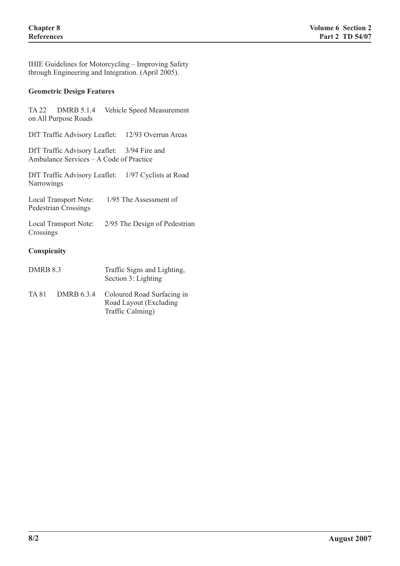IHIE Guidelines for Motorcycling – Improving Safety through Engineering and Integration. (April 2005).

# **Geometric Design Features**

|                 | TA 22 DMRB 5.1.4<br>on All Purpose Roads                                               | Vehicle Speed Measurement                            |
|-----------------|----------------------------------------------------------------------------------------|------------------------------------------------------|
|                 |                                                                                        | DfT Traffic Advisory Leaflet: 12/93 Overrun Areas    |
|                 | DfT Traffic Advisory Leaflet: 3/94 Fire and<br>Ambulance Services - A Code of Practice |                                                      |
| Narrowings      |                                                                                        | DfT Traffic Advisory Leaflet: 1/97 Cyclists at Road  |
|                 | Local Transport Note:<br><b>Pedestrian Crossings</b>                                   | 1/95 The Assessment of                               |
| Crossings       |                                                                                        | Local Transport Note: 2/95 The Design of Pedestrian  |
| Conspicuity     |                                                                                        |                                                      |
| <b>DMRB 8.3</b> |                                                                                        | Traffic Signs and Lighting,<br>Section 3: Lighting   |
| TA 81           | DMRB 6.3.4                                                                             | Coloured Road Surfacing in<br>Road Layout (Excluding |

Traffic Calming)